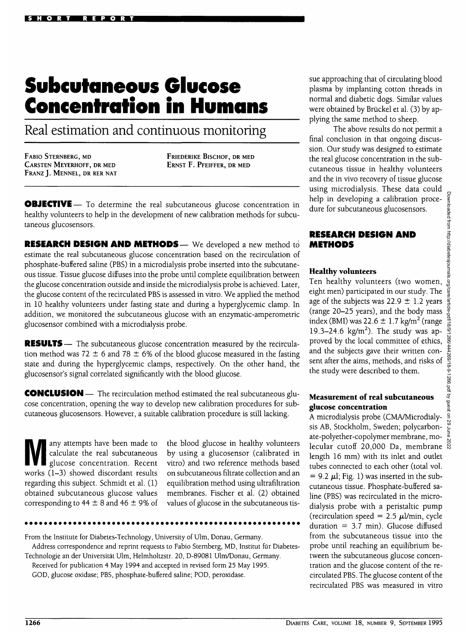# **Subcutaneous Glucose Concentration in Humans**

Real estimation and continuous monitoring

FABIO STERNBERG, MD CARSTEN MEYERHOFF, DR MED FRANZ J. MENNEL, DR RER NAT **FRIEDERIKE BlSCHOF, DR MED** ERNST F. PFEIFFER, DR MED

**OBJECTIVE**— To determine the real subcutaneous glucose concentration in healthy volunteers to help in the development of new calibration methods for subcutaneous glucosensors.

**RESEARCH DESIGN AND METHODS** — We developed a new method to estimate the real subcutaneous glucose concentration based on the recirculation of phosphate-buffered saline (PBS) in a microdialysis probe inserted into the subcutaneous tissue. Tissue glucose diffuses into the probe until complete equilibration between the glucose concentration outside and inside the microdialysis probe is achieved. Later, the glucose content of the recirculated PBS is assessed in vitro. We applied the method in 10 healthy volunteers under fasting state and during a hyperglycemic clamp. In addition, we monitored the subcutaneous glucose with an enzymatic-amperometric glucosensor combined with a microdialysis probe.

**RESULTS** — The subcutaneous glucose concentration measured by the recirculation method was 72  $\pm$  6 and 78  $\pm$  6% of the blood glucose measured in the fasting state and during the hyperglycemic clamps, respectively. On the other hand, the glucosensor's signal correlated significantly with the blood glucose.

**CONCLUSION** — The recirculation method estimated the real subcutaneous glucose concentration, opening the way to develop new calibration procedures for subcutaneous glucosensors. However, a suitable calibration procedure is still lacking.

Many attempts have been made to<br>calculate the real subcutaneous<br>glucose concentration. Recent calculate the real subcutaneous works (1-3) showed discordant results regarding this subject. Schmidt et al. (1) obtained subcutaneous glucose values corresponding to 44  $\pm$  8 and 46  $\pm$  9% of

the blood glucose in healthy volunteers by using a glucosensor (calibrated in vitro) and two reference methods based on subcutaneous filtrate collection and an equilibration method using ultrafiltration membranes. Fischer et al. (2) obtained values of glucose in the subcutaneous tis-

From the Institute for Diabetes-Technology, University of Ulm, Donau, Germany. Address correspondence and reprint requests to Fabio Sternberg, MD, Institut fur Diabetes-

Technologie an der Universitat Ulm, Helmholtzstr. 20, D-89081 Ulm/Donau, Germany. Received for publication 4 May 1994 and accepted in revised form 25 May 1995. GOD, glucose oxidase; PBS, phosphate-buffered saline; POD, peroxidase.

sue approaching that of circulating blood plasma by implanting cotton threads in normal and diabetic dogs. Similar values were obtained by Brückel et al. (3) by applying the same method to sheep.

The above results do not permit a final conclusion in that ongoing discussion. Our study was designed to estimate the real glucose concentration in the subcutaneous tissue in healthy volunteers and the in vivo recovery of tissue glucose using microdialysis. These data could help in developing a calibration procedure for subcutaneous glucosensors.

## **RESEARCH DESIGN AND METHODS**

# **Healthy volunteers**

Ten healthy volunteers (two women, eight men) participated in our study. The age of the subjects was 22.9  $\pm$  1.2 years (range 20-25 years), and the body mass index (BMI) was 22.6  $\pm$  1.7 kg/m<sup>2</sup> (range 19.3–24.6 kg/m<sup>2</sup>). The study was approved by the local committee of ethics, and the subjects gave their written consent after the aims, methods, and risks of the study were described to them.

#### Measurement of real subcutaneous glucose concentration

A microdialysis probe (CMA/Microdialysis AB, Stockholm, Sweden; polycarbonate-polyether-copolymer membrane, molecular cutoff  $20,000$  Da, membrane  $\frac{8}{8}$ length 16 mm) with its inlet and outlet tubes connected to each other (total vol.  $= 9.2 \mu l$ ; Fig. 1) was inserted in the subcutaneous tissue. Phosphate-buffered saline (PBS) was recirculated in the microdialysis probe with a peristaltic pump (recirculation speed =  $2.5 \mu$ l/min, cycle duration =  $3.7$  min). Glucose diffused from the subcutaneous tissue into the probe until reaching an equilibrium between the subcutaneous glucose concentration and the glucose content of the recirculated PBS. The glucose content of the recirculated PBS was measured in vitro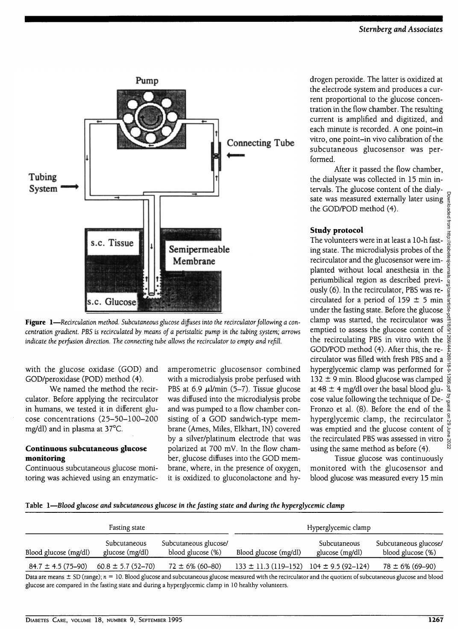

**Figure 1**—*Recirculation method. Subcutaneous glucose diffuses into the recirculator following a concentration gradient. PBS is recirculated by means of a peristaltic pump in the tubing system; arrows indicate the perfusion direction. The connecting tube allows the recirculator to empty and refill.*

with the glucose oxidase (GOD) and GOD/peroxidase (POD) method (4).

We named the method the recirculator. Before applying the recirculator in humans, we tested it in different glucose concentrations (25-50-100-200 mg/dl) and in plasma at 37°C.

# **Continuous subcutaneous glucose monitoring**

Continuous subcutaneous glucose monitoring was achieved using an enzymaticamperometric glucosensor combined with a microdialysis probe perfused with PBS at 6.9  $\mu$ l/min (5-7). Tissue glucose was diffused into the microdialysis probe and was pumped to a flow chamber consisting of a GOD sandwich-type membrane (Ames, Miles, Elkhart, IN) covered by a silver/platinum electrode that was polarized at 700 mV. In the flow chamber, glucose diffuses into the GOD membrane, where, in the presence of oxygen, it is oxidized to gluconolactone and hy-

drogen peroxide. The latter is oxidized at the electrode system and produces a current proportional to the glucose concentration in the flow chamber. The resulting current is amplified and digitized, and each minute is recorded. A one point-in vitro, one point-in vivo calibration of the subcutaneous glucosensor was performed.

After it passed the flow chamber, the dialysate was collected in 15 min intervals. The glucose content of the dialysate was measured externally later using the GOD/POD method (4).

# **Study protocol**

The volunteers were in at least a 10-h fasting state. The microdialysis probes of the recirculator and the glucosensor were implanted without local anesthesia in the periumbilical region as described previously (6). In the recirculator, PBS was recirculated for a period of 159  $\pm$  5 min  $\frac{1}{8}$ under the fasting state. Before the glucose  $\frac{6}{9}$ clamp was started, the recirculator was  $\frac{8}{3}$ emptied to assess the glucose content of  $\frac{\infty}{2}$ the recirculating PBS in vitro with the GOD/POD method (4). After this, the recirculator was filled with fresh PBS and a hyperglycemic clamp was performed for  $\frac{\infty}{6}$ 132  $\pm$  9 min. Blood glucose was clamped  $\frac{1}{2}$ at 48  $\pm$  4 mg/dl over the basal blood glucose value following the technique of De-Fronzo et al. (8). Before the end of the  $\frac{5}{4}$ hyperglycemic clamp, the recirculator  $\frac{9}{6}$ was emptied and the glucose content of  $\epsilon$ the recirculated PBS was assessed in vitro using the same method as before (4).

Tissue glucose was continuously monitored with the glucosensor and blood glucose was measured every 15 min

#### **Table 1—***Blood glucose and subcutaneous glucose in the fasting state and during the hyperglycemic clamp*

| Fasting state            |                                 |                                            | Hyperglycemic clamp                             |                                 |                                            |
|--------------------------|---------------------------------|--------------------------------------------|-------------------------------------------------|---------------------------------|--------------------------------------------|
| Blood glucose (mg/dl)    | Subcutaneous<br>glucose (mg/dl) | Subcutaneous glucose/<br>blood glucose (%) | Blood glucose (mg/dl)                           | Subcutaneous<br>glucose (mg/dl) | Subcutaneous glucose/<br>blood glucose (%) |
| $84.7 \pm 4.5 (75 - 90)$ | $60.8 \pm 5.7$ (52-70)          | $72 \pm 6\%$ (60-80)                       | $133 \pm 11.3$ (119-152) 104 $\pm$ 9.5 (92-124) |                                 | $78 \pm 6\%$ (69-90)                       |

Data are means ± SD (range); *n =* 10. Blood glucose and subcutaneous glucose measured with the recirculator and the quotient of subcutaneous glucose and blood glucose are compared in the fasting state and during a hyperglycemic clamp in 10 healthy volunteers.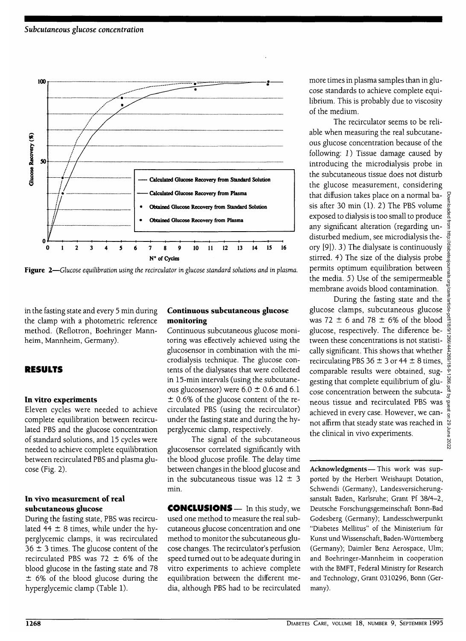

Figure 2-Glucose equilibration using the recirculator in glucose standard solutions and in plasma.

in the fasting state and every 5 min during the clamp with a photometric reference method. (Reflotron, Boehringer Mannheim, Mannheim, Germany).

# **RESULTS**

# **In vitro experiments**

Eleven cycles were needed to achieve complete equilibration between recirculated PBS and the glucose concentration of standard solutions, and 15 cycles were needed to achieve complete equilibration between recirculated PBS and plasma glucose (Fig. 2).

#### **In vivo measurement of real subcutaneous glucose**

During the fasting state, PBS was recirculated 44  $\pm$  8 times, while under the hyperglycemic clamps, it was recirculated  $36 \pm 3$  times. The glucose content of the recirculated PBS was 72  $\pm$  6% of the blood glucose in the fasting state and 78 ± 6% of the blood glucose during the hyperglycemic clamp (Table 1).

# **Continuous subcutaneous glucose monitoring**

Continuous subcutaneous glucose monitoring was effectively achieved using the glucosensor in combination with the microdialysis technique. The glucose contents of the dialysates that were collected in 15-min intervals (using the subcutaneous glucosensor) were  $6.0 \pm 0.6$  and  $6.1$ ± 0.6% of the glucose content of the recirculated PBS (using the recirculator) under the fasting state and during the hyperglycemic clamp, respectively.

The signal of the subcutaneous glucosensor correlated significantly with the blood glucose profile. The delay time between changes in the blood glucose and in the subcutaneous tissue was  $12 \pm 3$ min.

**CONCLUSIONS—** In this study, we used one method to measure the real subcutaneous glucose concentration and one method to monitor the subcutaneous glucose changes. The recirculator's perfusion speed turned out to be adequate during in vitro experiments to achieve complete equilibration between the different media, although PBS had to be recirculated

more times in plasma samples than in glucose standards to achieve complete equilibrium. This is probably due to viscosity of the medium.

The recirculator seems to be reliable when measuring the real subcutaneous glucose concentration because of the following: 1) Tissue damage caused by introducing the microdialysis probe in the subcutaneous tissue does not disturb the glucose measurement, considering that diffusion takes place on a normal basis after 30 min (1). 2) The PBS volume  $\frac{5}{8}$ exposed to dialysis is too small to produce any significant alteration (regarding undisturbed medium, see microdialysis theory [9]). 3) The dialysate is continuously stirred. 4) The size of the dialysis probe permits optimum equilibration between the media. 5) Use of the semipermeable  $\frac{3}{2}$ membrane avoids blood contamination.

During the fasting state and the glucose clamps, subcutaneous glucose was 72  $\pm$  6 and 78  $\pm$  6% of the blood glucose, respectively. The difference between these concentrations is not statistically significant. This shows that whether recirculating PBS 36  $\pm$  3 or 44  $\pm$  8 times, comparable results were obtained, suggesting that complete equilibrium of glucose concentration between the subcutaneous tissue and recirculated PBS was achieved in every case. However, we cannot affirm that steady state was reached in the clinical in vivo experiments.

Acknowledgments—This work was supported by the Herbert Weishaupt Dotation, Schwendi (Germany), Landesversicherungsanstalt Baden, Karlsruhe; Grant Pf 38/4-2, Deutsche Forschungsgemeinschaft Bonn-Bad Godesberg (Germany); Landesschwerpunkt "Diabetes Mellitus" of the Ministerium fur Kunst und Wissenschaft, Baden-Wurttemberg (Germany); Daimler Benz Aerospace, Ulm; and Boehringer-Mannheim in cooperation with the BMFT, Federal Ministry for Research and Technology, Grant 0310296, Bonn (Germany).